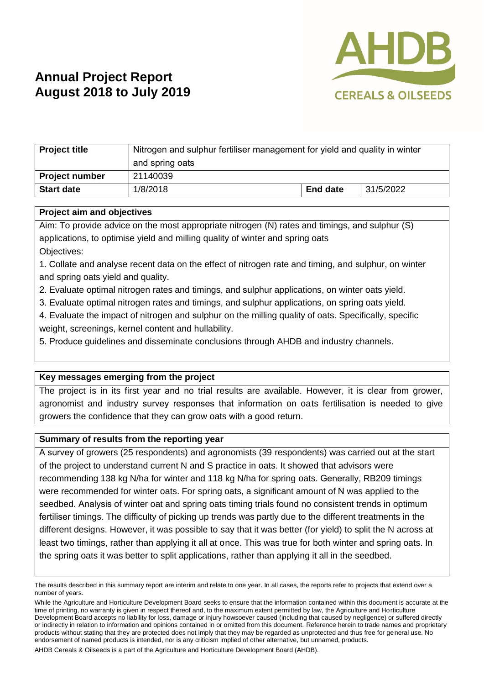

# **Annual Project Report August 2018 to July 2019**

| <b>Project title</b>  | Nitrogen and sulphur fertiliser management for yield and quality in winter<br>and spring oats |                 |           |
|-----------------------|-----------------------------------------------------------------------------------------------|-----------------|-----------|
| <b>Project number</b> | 21140039                                                                                      |                 |           |
| <b>Start date</b>     | 1/8/2018                                                                                      | <b>End date</b> | 31/5/2022 |

#### **Project aim and objectives**

Aim: To provide advice on the most appropriate nitrogen (N) rates and timings, and sulphur (S) applications, to optimise yield and milling quality of winter and spring oats Objectives:

1. Collate and analyse recent data on the effect of nitrogen rate and timing, and sulphur, on winter and spring oats yield and quality.

- 2. Evaluate optimal nitrogen rates and timings, and sulphur applications, on winter oats yield.
- 3. Evaluate optimal nitrogen rates and timings, and sulphur applications, on spring oats yield.

4. Evaluate the impact of nitrogen and sulphur on the milling quality of oats. Specifically, specific weight, screenings, kernel content and hullability.

5. Produce guidelines and disseminate conclusions through AHDB and industry channels.

## **Key messages emerging from the project**

The project is in its first year and no trial results are available. However, it is clear from grower, agronomist and industry survey responses that information on oats fertilisation is needed to give growers the confidence that they can grow oats with a good return.

#### **Summary of results from the reporting year**

A survey of growers (25 respondents) and agronomists (39 respondents) was carried out at the start of the project to understand current N and S practice in oats. It showed that advisors were recommending 138 kg N/ha for winter and 118 kg N/ha for spring oats. Generally, RB209 timings were recommended for winter oats. For spring oats, a significant amount of N was applied to the seedbed. Analysis of winter oat and spring oats timing trials found no consistent trends in optimum fertiliser timings. The difficulty of picking up trends was partly due to the different treatments in the different designs. However, it was possible to say that it was better (for yield) to split the N across at least two timings, rather than applying it all at once. This was true for both winter and spring oats. In the spring oats it was better to split applications, rather than applying it all in the seedbed.

AHDB Cereals & Oilseeds is a part of the Agriculture and Horticulture Development Board (AHDB).

The results described in this summary report are interim and relate to one year. In all cases, the reports refer to projects that extend over a number of years.

While the Agriculture and Horticulture Development Board seeks to ensure that the information contained within this document is accurate at the time of printing, no warranty is given in respect thereof and, to the maximum extent permitted by law, the Agriculture and Horticulture Development Board accepts no liability for loss, damage or injury howsoever caused (including that caused by negligence) or suffered directly or indirectly in relation to information and opinions contained in or omitted from this document. Reference herein to trade names and proprietary products without stating that they are protected does not imply that they may be regarded as unprotected and thus free for general use. No endorsement of named products is intended, nor is any criticism implied of other alternative, but unnamed, products.